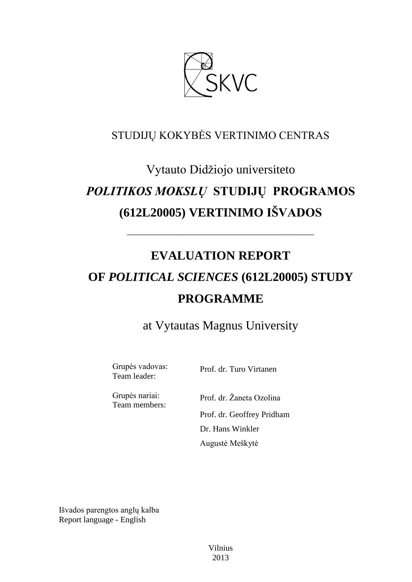

## STUDIJŲ KOKYBĖS VERTINIMO CENTRAS

# Vytauto Didžiojo universiteto *POLITIKOS MOKSLŲ* **STUDIJŲ PROGRAMOS (612L20005) VERTINIMO IŠVADOS**

# **EVALUATION REPORT OF** *POLITICAL SCIENCES* **(612L20005) STUDY PROGRAMME**

––––––––––––––––––––––––––––––

# at Vytautas Magnus University

Grupės vadovas: Team leader:

Prof. dr. Turo Virtanen

Grupės nariai: Team members:

Prof. dr. Žaneta Ozolina Prof. dr. Geoffrey Pridham Dr. Hans Winkler Augustė Meškytė

Išvados parengtos anglų kalba Report language - English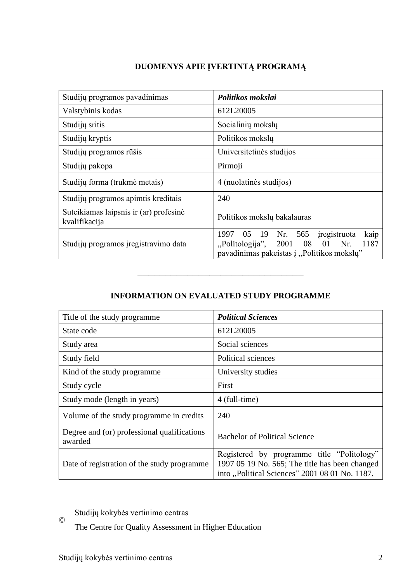## **DUOMENYS APIE ĮVERTINTĄ PROGRAMĄ**

| Studijų programos pavadinimas                           | Politikos mokslai                                                                                                                                |
|---------------------------------------------------------|--------------------------------------------------------------------------------------------------------------------------------------------------|
| Valstybinis kodas                                       | 612L20005                                                                                                                                        |
| Studijų sritis                                          | Socialinių mokslų                                                                                                                                |
| Studijų kryptis                                         | Politikos mokslų                                                                                                                                 |
| Studijų programos rūšis                                 | Universitetinės studijos                                                                                                                         |
| Studijų pakopa                                          | Pirmoji                                                                                                                                          |
| Studijų forma (trukmė metais)                           | 4 (nuolatinės studijos)                                                                                                                          |
| Studijų programos apimtis kreditais                     | 240                                                                                                                                              |
| Suteikiamas laipsnis ir (ar) profesinė<br>kvalifikacija | Politikos mokslų bakalauras                                                                                                                      |
| Studijų programos įregistravimo data                    | 05 19 Nr. 565<br>kaip<br>1997<br>iregistruota<br>"Politologija", 2001<br>- 08<br>1187<br>01<br>Nr.<br>pavadinimas pakeistas į "Politikos mokslų" |

### **INFORMATION ON EVALUATED STUDY PROGRAMME**

––––––––––––––––––––––––––––––

| Title of the study programme.                          | <b>Political Sciences</b>                                                                                                                      |
|--------------------------------------------------------|------------------------------------------------------------------------------------------------------------------------------------------------|
| State code                                             | 612L20005                                                                                                                                      |
| Study area                                             | Social sciences                                                                                                                                |
| Study field                                            | Political sciences                                                                                                                             |
| Kind of the study programme.                           | University studies                                                                                                                             |
| Study cycle                                            | First                                                                                                                                          |
| Study mode (length in years)                           | 4 (full-time)                                                                                                                                  |
| Volume of the study programme in credits               | 240                                                                                                                                            |
| Degree and (or) professional qualifications<br>awarded | <b>Bachelor of Political Science</b>                                                                                                           |
| Date of registration of the study programme            | Registered by programme title "Politology"<br>1997 05 19 No. 565; The title has been changed<br>into "Political Sciences" 2001 08 01 No. 1187. |

© Studijų kokybės vertinimo centras

The Centre for Quality Assessment in Higher Education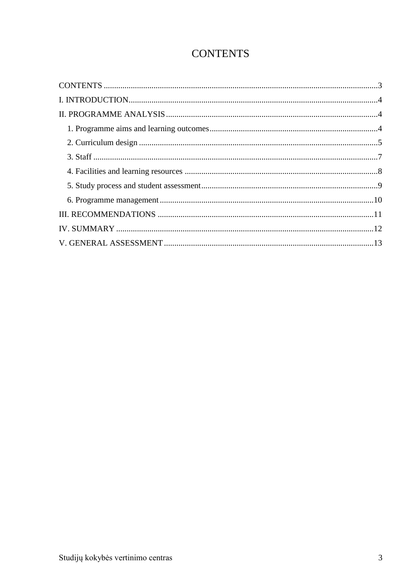## **CONTENTS**

<span id="page-2-0"></span>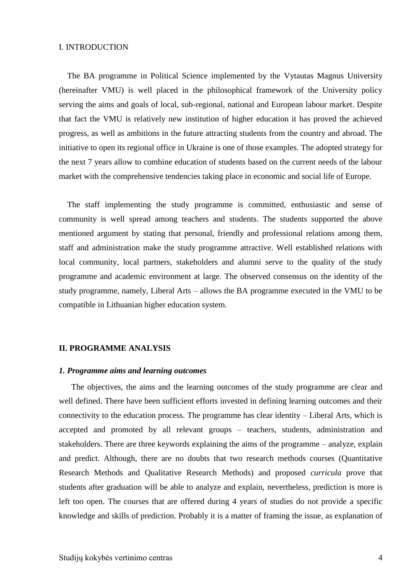#### <span id="page-3-0"></span>I. INTRODUCTION

 The BA programme in Political Science implemented by the Vytautas Magnus University (hereinafter VMU) is well placed in the philosophical framework of the University policy serving the aims and goals of local, sub-regional, national and European labour market. Despite that fact the VMU is relatively new institution of higher education it has proved the achieved progress, as well as ambitions in the future attracting students from the country and abroad. The initiative to open its regional office in Ukraine is one of those examples. The adopted strategy for the next 7 years allow to combine education of students based on the current needs of the labour market with the comprehensive tendencies taking place in economic and social life of Europe.

 The staff implementing the study programme is committed, enthusiastic and sense of community is well spread among teachers and students. The students supported the above mentioned argument by stating that personal, friendly and professional relations among them, staff and administration make the study programme attractive. Well established relations with local community, local partners, stakeholders and alumni serve to the quality of the study programme and academic environment at large. The observed consensus on the identity of the study programme, namely, Liberal Arts – allows the BA programme executed in the VMU to be compatible in Lithuanian higher education system.

#### <span id="page-3-1"></span>**II. PROGRAMME ANALYSIS**

#### <span id="page-3-2"></span>*1. Programme aims and learning outcomes*

The objectives, the aims and the learning outcomes of the study programme are clear and well defined. There have been sufficient efforts invested in defining learning outcomes and their connectivity to the education process. The programme has clear identity – Liberal Arts, which is accepted and promoted by all relevant groups – teachers, students, administration and stakeholders. There are three keywords explaining the aims of the programme – analyze, explain and predict. Although, there are no doubts that two research methods courses (Quantitative Research Methods and Qualitative Research Methods) and proposed *curricula* prove that students after graduation will be able to analyze and explain, nevertheless, prediction is more is left too open. The courses that are offered during 4 years of studies do not provide a specific knowledge and skills of prediction. Probably it is a matter of framing the issue, as explanation of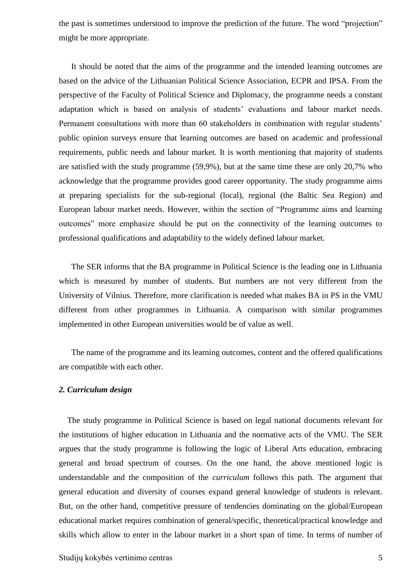the past is sometimes understood to improve the prediction of the future. The word "projection" might be more appropriate.

It should be noted that the aims of the programme and the intended learning outcomes are based on the advice of the Lithuanian Political Science Association, ECPR and IPSA. From the perspective of the Faculty of Political Science and Diplomacy, the programme needs a constant adaptation which is based on analysis of students' evaluations and labour market needs. Permanent consultations with more than 60 stakeholders in combination with regular students' public opinion surveys ensure that learning outcomes are based on academic and professional requirements, public needs and labour market. It is worth mentioning that majority of students are satisfied with the study programme (59,9%), but at the same time these are only 20,7% who acknowledge that the programme provides good career opportunity. The study programme aims at preparing specialists for the sub-regional (local), regional (the Baltic Sea Region) and European labour market needs. However, within the section of "Programme aims and learning outcomes" more emphasize should be put on the connectivity of the learning outcomes to professional qualifications and adaptability to the widely defined labour market.

The SER informs that the BA programme in Political Science is the leading one in Lithuania which is measured by number of students. But numbers are not very different from the University of Vilnius. Therefore, more clarification is needed what makes BA in PS in the VMU different from other programmes in Lithuania. A comparison with similar programmes implemented in other European universities would be of value as well.

<span id="page-4-0"></span>The name of the programme and its learning outcomes, content and the offered qualifications are compatible with each other.

#### *2. Curriculum design*

 The study programme in Political Science is based on legal national documents relevant for the institutions of higher education in Lithuania and the normative acts of the VMU. The SER argues that the study programme is following the logic of Liberal Arts education, embracing general and broad spectrum of courses. On the one hand, the above mentioned logic is understandable and the composition of the *curriculum* follows this path. The argument that general education and diversity of courses expand general knowledge of students is relevant. But, on the other hand, competitive pressure of tendencies dominating on the global/European educational market requires combination of general/specific, theoretical/practical knowledge and skills which allow to enter in the labour market in a short span of time. In terms of number of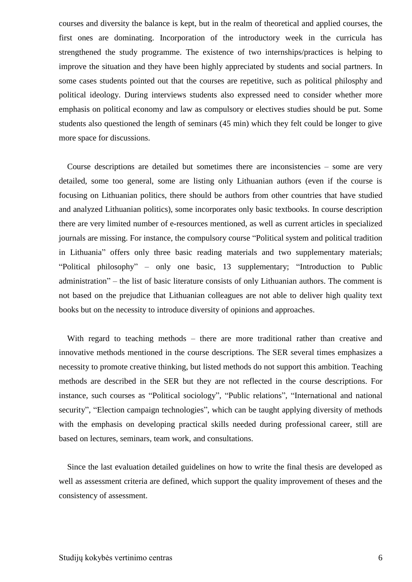courses and diversity the balance is kept, but in the realm of theoretical and applied courses, the first ones are dominating. Incorporation of the introductory week in the curricula has strengthened the study programme. The existence of two internships/practices is helping to improve the situation and they have been highly appreciated by students and social partners. In some cases students pointed out that the courses are repetitive, such as political philosphy and political ideology. During interviews students also expressed need to consider whether more emphasis on political economy and law as compulsory or electives studies should be put. Some students also questioned the length of seminars (45 min) which they felt could be longer to give more space for discussions.

 Course descriptions are detailed but sometimes there are inconsistencies – some are very detailed, some too general, some are listing only Lithuanian authors (even if the course is focusing on Lithuanian politics, there should be authors from other countries that have studied and analyzed Lithuanian politics), some incorporates only basic textbooks. In course description there are very limited number of e-resources mentioned, as well as current articles in specialized journals are missing. For instance, the compulsory course "Political system and political tradition in Lithuania" offers only three basic reading materials and two supplementary materials; "Political philosophy" – only one basic, 13 supplementary; "Introduction to Public administration" – the list of basic literature consists of only Lithuanian authors. The comment is not based on the prejudice that Lithuanian colleagues are not able to deliver high quality text books but on the necessity to introduce diversity of opinions and approaches.

With regard to teaching methods – there are more traditional rather than creative and innovative methods mentioned in the course descriptions. The SER several times emphasizes a necessity to promote creative thinking, but listed methods do not support this ambition. Teaching methods are described in the SER but they are not reflected in the course descriptions. For instance, such courses as "Political sociology", "Public relations", "International and national security", "Election campaign technologies", which can be taught applying diversity of methods with the emphasis on developing practical skills needed during professional career, still are based on lectures, seminars, team work, and consultations.

 Since the last evaluation detailed guidelines on how to write the final thesis are developed as well as assessment criteria are defined, which support the quality improvement of theses and the consistency of assessment.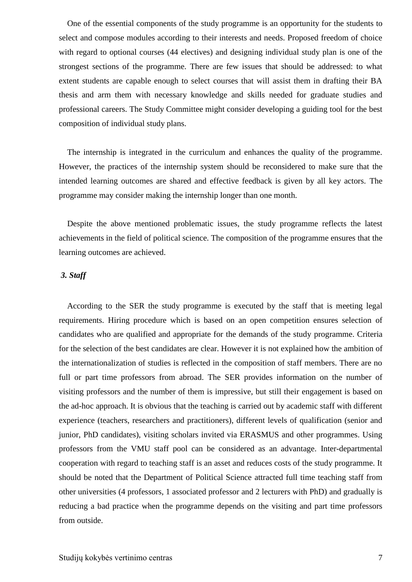One of the essential components of the study programme is an opportunity for the students to select and compose modules according to their interests and needs. Proposed freedom of choice with regard to optional courses (44 electives) and designing individual study plan is one of the strongest sections of the programme. There are few issues that should be addressed: to what extent students are capable enough to select courses that will assist them in drafting their BA thesis and arm them with necessary knowledge and skills needed for graduate studies and professional careers. The Study Committee might consider developing a guiding tool for the best composition of individual study plans.

 The internship is integrated in the curriculum and enhances the quality of the programme. However, the practices of the internship system should be reconsidered to make sure that the intended learning outcomes are shared and effective feedback is given by all key actors. The programme may consider making the internship longer than one month.

 Despite the above mentioned problematic issues, the study programme reflects the latest achievements in the field of political science. The composition of the programme ensures that the learning outcomes are achieved.

#### <span id="page-6-0"></span>*3. Staff*

 According to the SER the study programme is executed by the staff that is meeting legal requirements. Hiring procedure which is based on an open competition ensures selection of candidates who are qualified and appropriate for the demands of the study programme. Criteria for the selection of the best candidates are clear. However it is not explained how the ambition of the internationalization of studies is reflected in the composition of staff members. There are no full or part time professors from abroad. The SER provides information on the number of visiting professors and the number of them is impressive, but still their engagement is based on the ad-hoc approach. It is obvious that the teaching is carried out by academic staff with different experience (teachers, researchers and practitioners), different levels of qualification (senior and junior, PhD candidates), visiting scholars invited via ERASMUS and other programmes. Using professors from the VMU staff pool can be considered as an advantage. Inter-departmental cooperation with regard to teaching staff is an asset and reduces costs of the study programme. It should be noted that the Department of Political Science attracted full time teaching staff from other universities (4 professors, 1 associated professor and 2 lecturers with PhD) and gradually is reducing a bad practice when the programme depends on the visiting and part time professors from outside.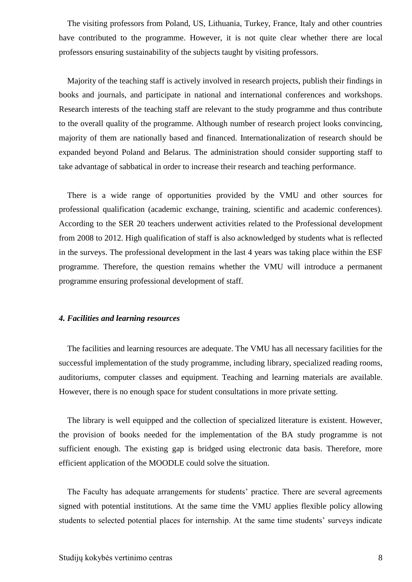The visiting professors from Poland, US, Lithuania, Turkey, France, Italy and other countries have contributed to the programme. However, it is not quite clear whether there are local professors ensuring sustainability of the subjects taught by visiting professors.

 Majority of the teaching staff is actively involved in research projects, publish their findings in books and journals, and participate in national and international conferences and workshops. Research interests of the teaching staff are relevant to the study programme and thus contribute to the overall quality of the programme. Although number of research project looks convincing, majority of them are nationally based and financed. Internationalization of research should be expanded beyond Poland and Belarus. The administration should consider supporting staff to take advantage of sabbatical in order to increase their research and teaching performance.

 There is a wide range of opportunities provided by the VMU and other sources for professional qualification (academic exchange, training, scientific and academic conferences). According to the SER 20 teachers underwent activities related to the Professional development from 2008 to 2012. High qualification of staff is also acknowledged by students what is reflected in the surveys. The professional development in the last 4 years was taking place within the ESF programme. Therefore, the question remains whether the VMU will introduce a permanent programme ensuring professional development of staff.

#### <span id="page-7-0"></span>*4. Facilities and learning resources*

 The facilities and learning resources are adequate. The VMU has all necessary facilities for the successful implementation of the study programme, including library, specialized reading rooms, auditoriums, computer classes and equipment. Teaching and learning materials are available. However, there is no enough space for student consultations in more private setting.

 The library is well equipped and the collection of specialized literature is existent. However, the provision of books needed for the implementation of the BA study programme is not sufficient enough. The existing gap is bridged using electronic data basis. Therefore, more efficient application of the MOODLE could solve the situation.

The Faculty has adequate arrangements for students' practice. There are several agreements signed with potential institutions. At the same time the VMU applies flexible policy allowing students to selected potential places for internship. At the same time students' surveys indicate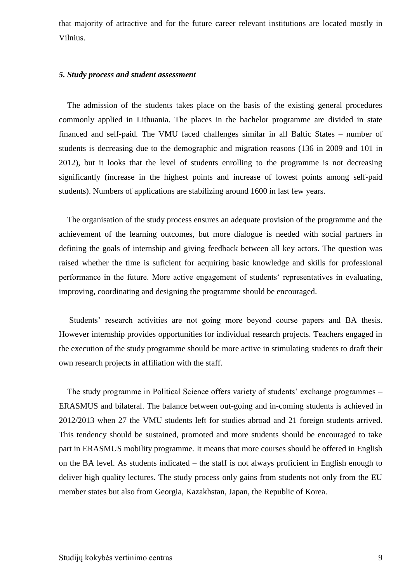that majority of attractive and for the future career relevant institutions are located mostly in Vilnius.

#### <span id="page-8-0"></span>*5. Study process and student assessment*

 The admission of the students takes place on the basis of the existing general procedures commonly applied in Lithuania. The places in the bachelor programme are divided in state financed and self-paid. The VMU faced challenges similar in all Baltic States – number of students is decreasing due to the demographic and migration reasons (136 in 2009 and 101 in 2012), but it looks that the level of students enrolling to the programme is not decreasing significantly (increase in the highest points and increase of lowest points among self-paid students). Numbers of applications are stabilizing around 1600 in last few years.

 The organisation of the study process ensures an adequate provision of the programme and the achievement of the learning outcomes, but more dialogue is needed with social partners in defining the goals of internship and giving feedback between all key actors. The question was raised whether the time is suficient for acquiring basic knowledge and skills for professional performance in the future. More active engagement of students" representatives in evaluating, improving, coordinating and designing the programme should be encouraged.

Students' research activities are not going more beyond course papers and BA thesis. However internship provides opportunities for individual research projects. Teachers engaged in the execution of the study programme should be more active in stimulating students to draft their own research projects in affiliation with the staff.

The study programme in Political Science offers variety of students' exchange programmes – ERASMUS and bilateral. The balance between out-going and in-coming students is achieved in 2012/2013 when 27 the VMU students left for studies abroad and 21 foreign students arrived. This tendency should be sustained, promoted and more students should be encouraged to take part in ERASMUS mobility programme. It means that more courses should be offered in English on the BA level. As students indicated – the staff is not always proficient in English enough to deliver high quality lectures. The study process only gains from students not only from the EU member states but also from Georgia, Kazakhstan, Japan, the Republic of Korea.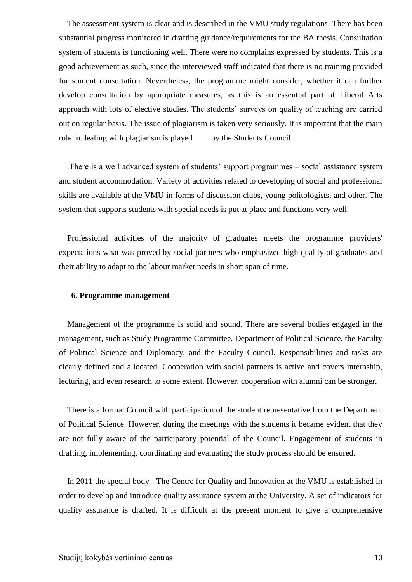The assessment system is clear and is described in the VMU study regulations. There has been substantial progress monitored in drafting guidance/requirements for the BA thesis. Consultation system of students is functioning well. There were no complains expressed by students. This is a good achievement as such, since the interviewed staff indicated that there is no training provided for student consultation. Nevertheless, the programme might consider, whether it can further develop consultation by appropriate measures, as this is an essential part of Liberal Arts approach with lots of elective studies. The students' surveys on quality of teaching are carried out on regular basis. The issue of plagiarism is taken very seriously. It is important that the main role in dealing with plagiarism is played by the Students Council.

 There is a well advanced system of students" support programmes – social assistance system and student accommodation. Variety of activities related to developing of social and professional skills are available at the VMU in forms of discussion clubs, young politologists, and other. The system that supports students with special needs is put at place and functions very well.

 Professional activities of the majority of graduates meets the programme providers' expectations what was proved by social partners who emphasized high quality of graduates and their ability to adapt to the labour market needs in short span of time.

#### <span id="page-9-0"></span>**6. Programme management**

 Management of the programme is solid and sound. There are several bodies engaged in the management, such as Study Programme Committee, Department of Political Science, the Faculty of Political Science and Diplomacy, and the Faculty Council. Responsibilities and tasks are clearly defined and allocated. Cooperation with social partners is active and covers internship, lecturing, and even research to some extent. However, cooperation with alumni can be stronger.

 There is a formal Council with participation of the student representative from the Department of Political Science. However, during the meetings with the students it became evident that they are not fully aware of the participatory potential of the Council. Engagement of students in drafting, implementing, coordinating and evaluating the study process should be ensured.

 In 2011 the special body - The Centre for Quality and Innovation at the VMU is established in order to develop and introduce quality assurance system at the University. A set of indicators for quality assurance is drafted. It is difficult at the present moment to give a comprehensive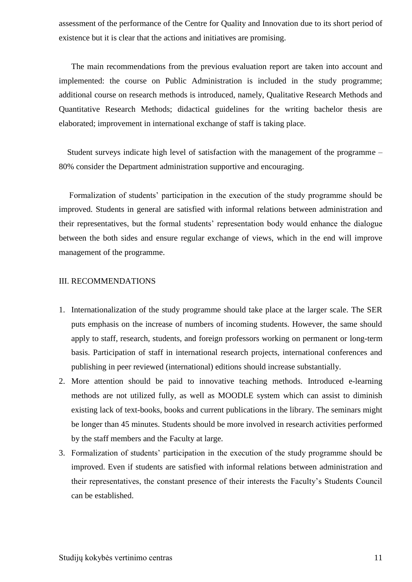assessment of the performance of the Centre for Quality and Innovation due to its short period of existence but it is clear that the actions and initiatives are promising.

The main recommendations from the previous evaluation report are taken into account and implemented: the course on Public Administration is included in the study programme; additional course on research methods is introduced, namely, Qualitative Research Methods and Quantitative Research Methods; didactical guidelines for the writing bachelor thesis are elaborated; improvement in international exchange of staff is taking place.

 Student surveys indicate high level of satisfaction with the management of the programme – 80% consider the Department administration supportive and encouraging.

Formalization of students' participation in the execution of the study programme should be improved. Students in general are satisfied with informal relations between administration and their representatives, but the formal students" representation body would enhance the dialogue between the both sides and ensure regular exchange of views, which in the end will improve management of the programme.

#### <span id="page-10-0"></span>III. RECOMMENDATIONS

- 1. Internationalization of the study programme should take place at the larger scale. The SER puts emphasis on the increase of numbers of incoming students. However, the same should apply to staff, research, students, and foreign professors working on permanent or long-term basis. Participation of staff in international research projects, international conferences and publishing in peer reviewed (international) editions should increase substantially.
- 2. More attention should be paid to innovative teaching methods. Introduced e-learning methods are not utilized fully, as well as MOODLE system which can assist to diminish existing lack of text-books, books and current publications in the library. The seminars might be longer than 45 minutes. Students should be more involved in research activities performed by the staff members and the Faculty at large.
- 3. Formalization of students' participation in the execution of the study programme should be improved. Even if students are satisfied with informal relations between administration and their representatives, the constant presence of their interests the Faculty"s Students Council can be established.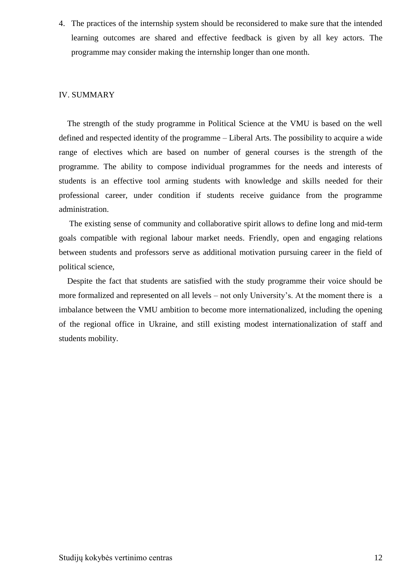4. The practices of the internship system should be reconsidered to make sure that the intended learning outcomes are shared and effective feedback is given by all key actors. The programme may consider making the internship longer than one month.

#### IV. SUMMARY

 The strength of the study programme in Political Science at the VMU is based on the well defined and respected identity of the programme – Liberal Arts. The possibility to acquire a wide range of electives which are based on number of general courses is the strength of the programme. The ability to compose individual programmes for the needs and interests of students is an effective tool arming students with knowledge and skills needed for their professional career, under condition if students receive guidance from the programme administration.

 The existing sense of community and collaborative spirit allows to define long and mid-term goals compatible with regional labour market needs. Friendly, open and engaging relations between students and professors serve as additional motivation pursuing career in the field of political science,

 Despite the fact that students are satisfied with the study programme their voice should be more formalized and represented on all levels – not only University's. At the moment there is a imbalance between the VMU ambition to become more internationalized, including the opening of the regional office in Ukraine, and still existing modest internationalization of staff and students mobility.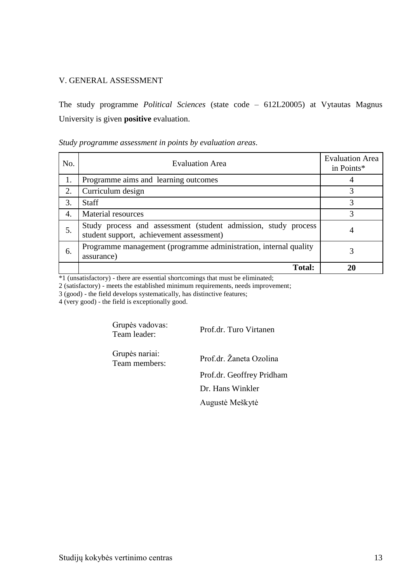#### <span id="page-12-0"></span>V. GENERAL ASSESSMENT

The study programme *Political Sciences* (state code – 612L20005) at Vytautas Magnus University is given **positive** evaluation.

*Study programme assessment in points by evaluation areas*.

| No. | <b>Evaluation Area</b>                                                                                     | <b>Evaluation Area</b><br>in Points* |
|-----|------------------------------------------------------------------------------------------------------------|--------------------------------------|
| 1.  | Programme aims and learning outcomes                                                                       |                                      |
| 2.  | Curriculum design                                                                                          |                                      |
| 3.  | <b>Staff</b>                                                                                               |                                      |
| 4.  | Material resources                                                                                         | 3                                    |
| 5.  | Study process and assessment (student admission, study process<br>student support, achievement assessment) |                                      |
| 6.  | Programme management (programme administration, internal quality<br>assurance)                             |                                      |
|     | <b>Total:</b>                                                                                              |                                      |

\*1 (unsatisfactory) - there are essential shortcomings that must be eliminated;

2 (satisfactory) - meets the established minimum requirements, needs improvement;

3 (good) - the field develops systematically, has distinctive features;

4 (very good) - the field is exceptionally good.

Grupės vadovas: Team leader: Prof.dr. Turo Virtanen Grupės nariai: Prof.dr. Žaneta Ozolina Prof.dr. Geoffrey Pridham Dr. Hans Winkler Augustė Meškytė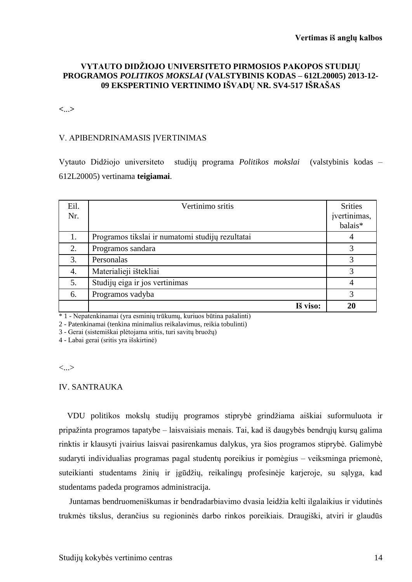#### **VYTAUTO DIDŢIOJO UNIVERSITETO PIRMOSIOS PAKOPOS STUDIJŲ PROGRAMOS** *POLITIKOS MOKSLAI* **(VALSTYBINIS KODAS – 612L20005) 2013-12- 09 EKSPERTINIO VERTINIMO IŠVADŲ NR. SV4-517 IŠRAŠAS**

**<**...**>**

#### V. APIBENDRINAMASIS ĮVERTINIMAS

Vytauto Didžiojo universiteto studijų programa *Politikos mokslai* (valstybinis kodas – 612L20005) vertinama **teigiamai**.

| Eil.<br>Nr. | Vertinimo sritis                                 | <b>Srities</b><br>įvertinimas,<br>balais* |
|-------------|--------------------------------------------------|-------------------------------------------|
| 1.          | Programos tikslai ir numatomi studijų rezultatai |                                           |
| 2.          | Programos sandara                                |                                           |
| 3.          | Personalas                                       |                                           |
| 4.          | Materialieji ištekliai                           |                                           |
| 5.          | Studijų eiga ir jos vertinimas                   |                                           |
| 6.          | Programos vadyba                                 |                                           |
|             | Iš viso:                                         |                                           |

\* 1 - Nepatenkinamai (yra esminių trūkumų, kuriuos būtina pašalinti)

2 - Patenkinamai (tenkina minimalius reikalavimus, reikia tobulinti)

3 - Gerai (sistemiškai plėtojama sritis, turi savitų bruožų)

4 - Labai gerai (sritis yra išskirtinė)

<...>

#### IV. SANTRAUKA

VDU politikos mokslų studijų programos stiprybė grindžiama aiškiai suformuluota ir pripaţinta programos tapatybe – laisvaisiais menais. Tai, kad iš daugybės bendrųjų kursų galima rinktis ir klausyti įvairius laisvai pasirenkamus dalykus, yra šios programos stiprybė. Galimybė sudaryti individualias programas pagal studentų poreikius ir pomėgius – veiksminga priemonė, suteikianti studentams žinių ir įgūdžių, reikalingų profesinėje karjeroje, su sąlyga, kad studentams padeda programos administracija.

Juntamas bendruomeniškumas ir bendradarbiavimo dvasia leidžia kelti ilgalaikius ir vidutinės trukmės tikslus, derančius su regioninės darbo rinkos poreikiais. Draugiški, atviri ir glaudūs